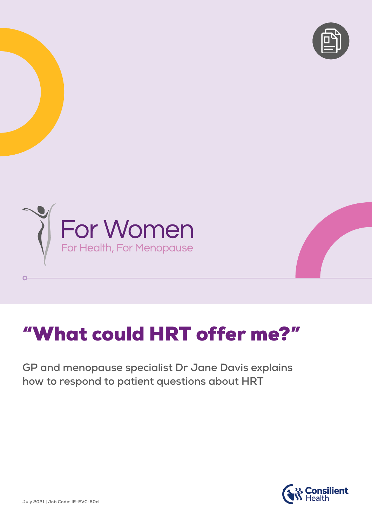



## "What could HRT offer me?"

**GP and menopause specialist Dr Jane Davis explains how to respond to patient questions about HRT** 



 $\overline{O}$